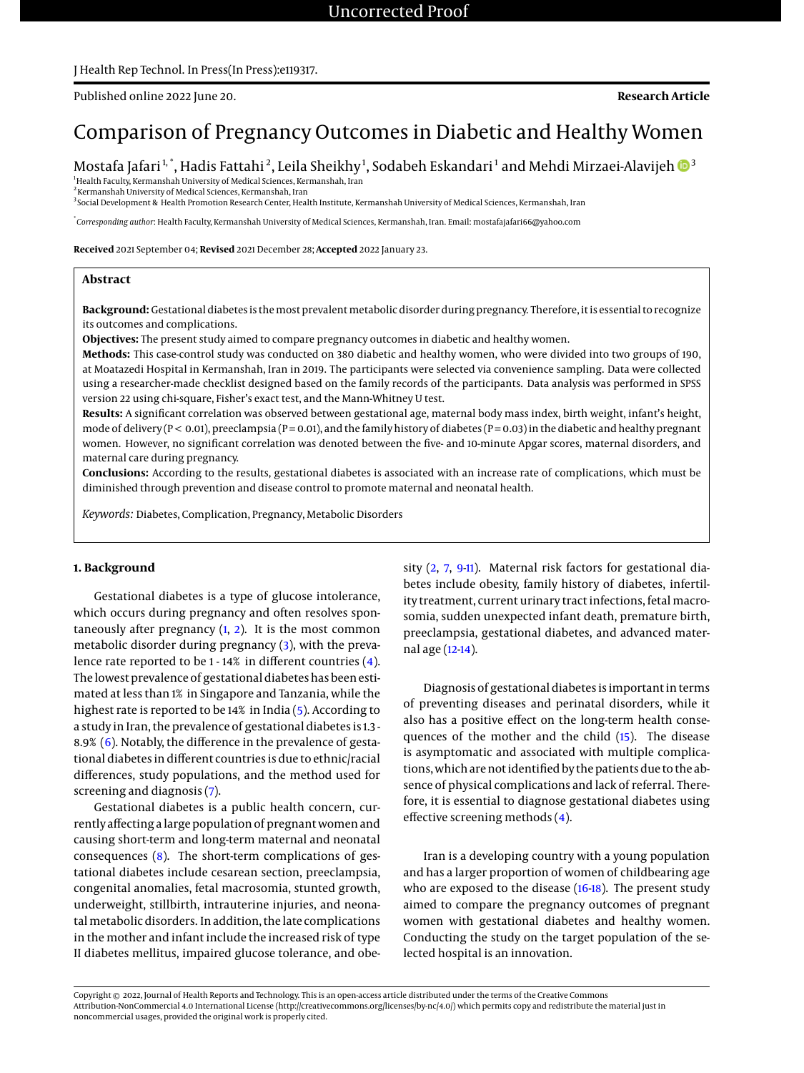# Published online 2022 June 20. **Research Article**

# Comparison of Pregnancy Outcomes in Diabetic and Healthy Women

Mostafa Jafari <sup>1, \*</sup>, Hadis Fattahi <sup>2</sup>, Leila Sheikhy <sup>1</sup>, Sodabeh Eskandari <sup>1</sup> and Mehdi Mirzaei-Alavijeh **D** [3](https://orcid.org/0000-0003-3695-6971)

<sup>1</sup>Health Faculty, Kermanshah University of Medical Sciences, Kermanshah, Iran 2 Kermanshah University of Medical Sciences, Kermanshah, Iran

3 Social Development & Health Promotion Research Center, Health Institute, Kermanshah University of Medical Sciences, Kermanshah, Iran

\* *Corresponding author*: Health Faculty, Kermanshah University of Medical Sciences, Kermanshah, Iran. Email: mostafajafari66@yahoo.com

**Received** 2021 September 04; **Revised** 2021 December 28; **Accepted** 2022 January 23.

## **Abstract**

Background: Gestational diabetes is the most prevalent metabolic disorder during pregnancy. Therefore, it is essential to recognize its outcomes and complications.

**Objectives:** The present study aimed to compare pregnancy outcomes in diabetic and healthy women.

**Methods:** This case-control study was conducted on 380 diabetic and healthy women, who were divided into two groups of 190, at Moatazedi Hospital in Kermanshah, Iran in 2019. The participants were selected via convenience sampling. Data were collected using a researcher-made checklist designed based on the family records of the participants. Data analysis was performed in SPSS version 22 using chi-square, Fisher's exact test, and the Mann-Whitney U test.

**Results:** A significant correlation was observed between gestational age, maternal body mass index, birth weight, infant's height, mode of delivery ( $P < 0.01$ ), preeclampsia ( $P = 0.01$ ), and the family history of diabetes ( $P = 0.03$ ) in the diabetic and healthy pregnant women. However, no significant correlation was denoted between the five- and 10-minute Apgar scores, maternal disorders, and maternal care during pregnancy.

**Conclusions:** According to the results, gestational diabetes is associated with an increase rate of complications, which must be diminished through prevention and disease control to promote maternal and neonatal health.

*Keywords:* Diabetes, Complication, Pregnancy, Metabolic Disorders

## **1. Background**

Gestational diabetes is a type of glucose intolerance, which occurs during pregnancy and often resolves spontaneously after pregnancy  $(1, 2)$  $(1, 2)$  $(1, 2)$ . It is the most common metabolic disorder during pregnancy [\(3\)](#page-3-2), with the prevalence rate reported to be 1 - 14% in different countries [\(4\)](#page-3-3). The lowest prevalence of gestational diabetes has been estimated at less than 1% in Singapore and Tanzania, while the highest rate is reported to be 14% in India [\(5\)](#page-3-4). According to a study in Iran, the prevalence of gestational diabetes is 1.3 - 8.9% [\(6\)](#page-3-5). Notably, the difference in the prevalence of gestational diabetes in different countries is due to ethnic/racial differences, study populations, and the method used for screening and diagnosis [\(7\)](#page-3-6).

Gestational diabetes is a public health concern, currently affecting a large population of pregnant women and causing short-term and long-term maternal and neonatal consequences [\(8\)](#page-3-7). The short-term complications of gestational diabetes include cesarean section, preeclampsia, congenital anomalies, fetal macrosomia, stunted growth, underweight, stillbirth, intrauterine injuries, and neonatalmetabolic disorders. In addition, the late complications in the mother and infant include the increased risk of type II diabetes mellitus, impaired glucose tolerance, and obesity  $(2, 7, 911)$  $(2, 7, 911)$  $(2, 7, 911)$  $(2, 7, 911)$  $(2, 7, 911)$ . Maternal risk factors for gestational diabetes include obesity, family history of diabetes, infertility treatment, current urinary tract infections, fetal macrosomia, sudden unexpected infant death, premature birth, preeclampsia, gestational diabetes, and advanced maternal age [\(12-](#page-3-10)[14\)](#page-3-11).

Diagnosis of gestational diabetes is important in terms of preventing diseases and perinatal disorders, while it also has a positive effect on the long-term health consequences of the mother and the child [\(15\)](#page-3-12). The disease is asymptomatic and associated with multiple complications, which are not identified by the patients due to the absence of physical complications and lack of referral. Therefore, it is essential to diagnose gestational diabetes using effective screening methods [\(4\)](#page-3-3).

Iran is a developing country with a young population and has a larger proportion of women of childbearing age who are exposed to the disease [\(16](#page-3-13)[-18\)](#page-3-14). The present study aimed to compare the pregnancy outcomes of pregnant women with gestational diabetes and healthy women. Conducting the study on the target population of the selected hospital is an innovation.

Copyright © 2022, Journal of Health Reports and Technology. This is an open-access article distributed under the terms of the Creative Commons Attribution-NonCommercial 4.0 International License (http://creativecommons.org/licenses/by-nc/4.0/) which permits copy and redistribute the material just in noncommercial usages, provided the original work is properly cited.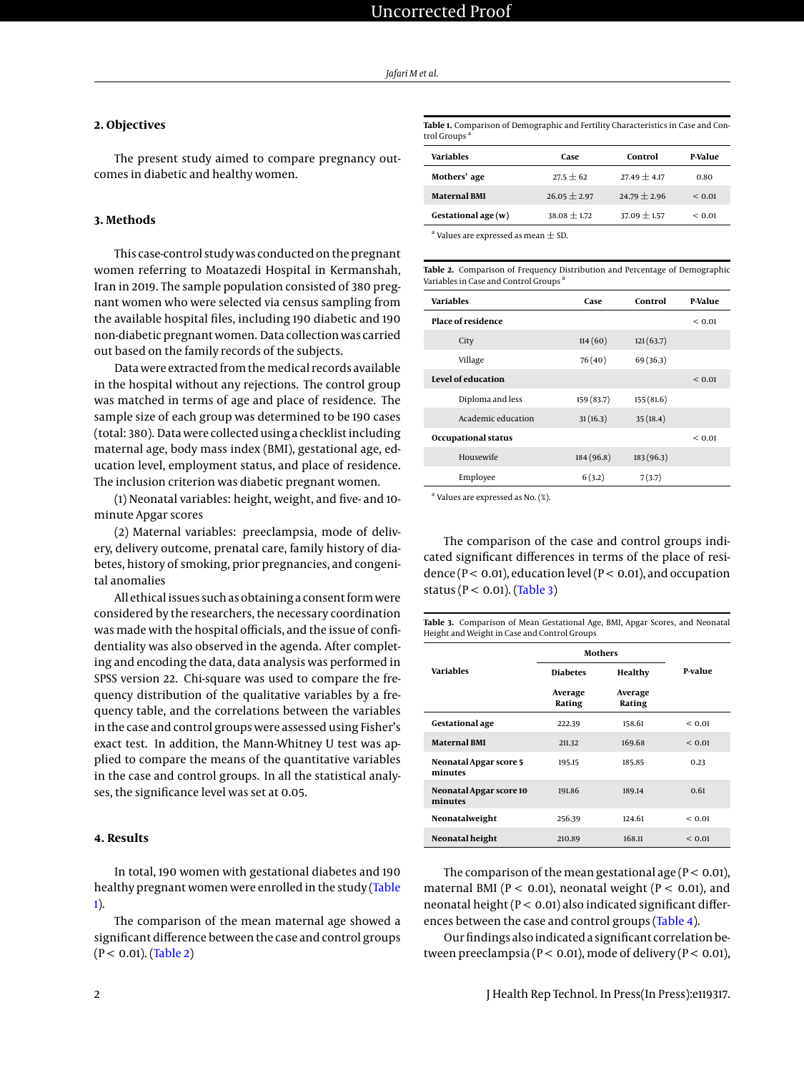# **2. Objectives**

The present study aimed to compare pregnancy outcomes in diabetic and healthy women.

# **3. Methods**

This case-control study was conducted on the pregnant women referring to Moatazedi Hospital in Kermanshah, Iran in 2019. The sample population consisted of 380 pregnant women who were selected via census sampling from the available hospital files, including 190 diabetic and 190 non-diabetic pregnant women. Data collection was carried out based on the family records of the subjects.

Data were extracted from themedical records available in the hospital without any rejections. The control group was matched in terms of age and place of residence. The sample size of each group was determined to be 190 cases (total: 380). Data were collected using a checklist including maternal age, body mass index (BMI), gestational age, education level, employment status, and place of residence. The inclusion criterion was diabetic pregnant women.

(1) Neonatal variables: height, weight, and five- and 10 minute Apgar scores

(2) Maternal variables: preeclampsia, mode of delivery, delivery outcome, prenatal care, family history of diabetes, history of smoking, prior pregnancies, and congenital anomalies

All ethical issues such as obtaining a consent form were considered by the researchers, the necessary coordination was made with the hospital officials, and the issue of confidentiality was also observed in the agenda. After completing and encoding the data, data analysis was performed in SPSS version 22. Chi-square was used to compare the frequency distribution of the qualitative variables by a frequency table, and the correlations between the variables in the case and control groups were assessed using Fisher's exact test. In addition, the Mann-Whitney U test was applied to compare the means of the quantitative variables in the case and control groups. In all the statistical analyses, the significance level was set at 0.05.

### **4. Results**

In total, 190 women with gestational diabetes and 190 healthy pregnant women were enrolled in the study [\(Table](#page-1-0) [1\)](#page-1-0).

The comparison of the mean maternal age showed a significant difference between the case and control groups  $(P < 0.01)$ . [\(Table 2\)](#page-1-1)

<span id="page-1-0"></span>**Table 1.** Comparison of Demographic and Fertility Characteristics in Case and Control Groups

| Variables           | Case             | Control          | P-Value |
|---------------------|------------------|------------------|---------|
| Mothers' age        | $27.5 + 62$      | $27.49 \pm 4.17$ | 0.80    |
| <b>Maternal BMI</b> | $26.05 \pm 2.97$ | $24.79 \pm 2.96$ | < 0.01  |
| Gestational age (w) | $38.08 \pm 1.72$ | $37.09 \pm 1.57$ | < 0.01  |

 $^{\rm a}$  Values are expressed as mean  $\pm$  SD.

<span id="page-1-1"></span>**Table 2.** Comparison of Frequency Distribution and Percentage of Demographic Variables in Case and Control Groups<sup>a</sup>

| <b>Variables</b>           | Case       | Control   | P-Value     |
|----------------------------|------------|-----------|-------------|
| <b>Place of residence</b>  |            |           | ${}_{0.01}$ |
| City                       | 114(60)    | 121(63.7) |             |
| Village                    | 76 (40)    | 69 (36.3) |             |
| Level of education         |            |           | ${}_{0.01}$ |
| Diploma and less           | 159 (83.7) | 155(81.6) |             |
| Academic education         | 31(16.3)   | 35(18.4)  |             |
| <b>Occupational status</b> |            |           | ${}_{0.01}$ |
| Housewife                  | 184 (96.8) | 183(96.3) |             |
| Employee                   | 6(3.2)     | 7(3.7)    |             |

a Values are expressed as No. (%).

The comparison of the case and control groups indicated significant differences in terms of the place of residence ( $P < 0.01$ ), education level ( $P < 0.01$ ), and occupation status ( $P < 0.01$ ). [\(Table 3\)](#page-1-2)

<span id="page-1-2"></span>

| Table 3. Comparison of Mean Gestational Age, BMI, Apgar Scores, and Neonatal |  |  |
|------------------------------------------------------------------------------|--|--|
| Height and Weight in Case and Control Groups                                 |  |  |

|                                    | Mothers           |                   |             |  |
|------------------------------------|-------------------|-------------------|-------------|--|
| <b>Variables</b>                   | <b>Diabetes</b>   | Healthy           | P-value     |  |
|                                    | Average<br>Rating | Average<br>Rating |             |  |
| <b>Gestational age</b>             | 222.39            | 158.61            | ${}_{0.01}$ |  |
| <b>Maternal BMI</b>                | 211.32            | 169.68            | ${}_{0.01}$ |  |
| Neonatal Apgar score 5<br>minutes  | 195.15            | 185.85            | 0.23        |  |
| Neonatal Apgar score 10<br>minutes | 191.86            | 189.14            | 0.61        |  |
| Neonatalweight                     | 256.39            | 124.61            | ${}_{0.01}$ |  |
| Neonatal height                    | 210.89            | 168.11            | ${}_{0.01}$ |  |

The comparison of the mean gestational age ( $P < 0.01$ ), maternal BMI ( $P < 0.01$ ), neonatal weight ( $P < 0.01$ ), and neonatal height ( $P < 0.01$ ) also indicated significant differences between the case and control groups [\(Table 4\)](#page-2-0).

Our findings also indicated a significant correlation between preeclampsia ( $P < 0.01$ ), mode of delivery ( $P < 0.01$ ),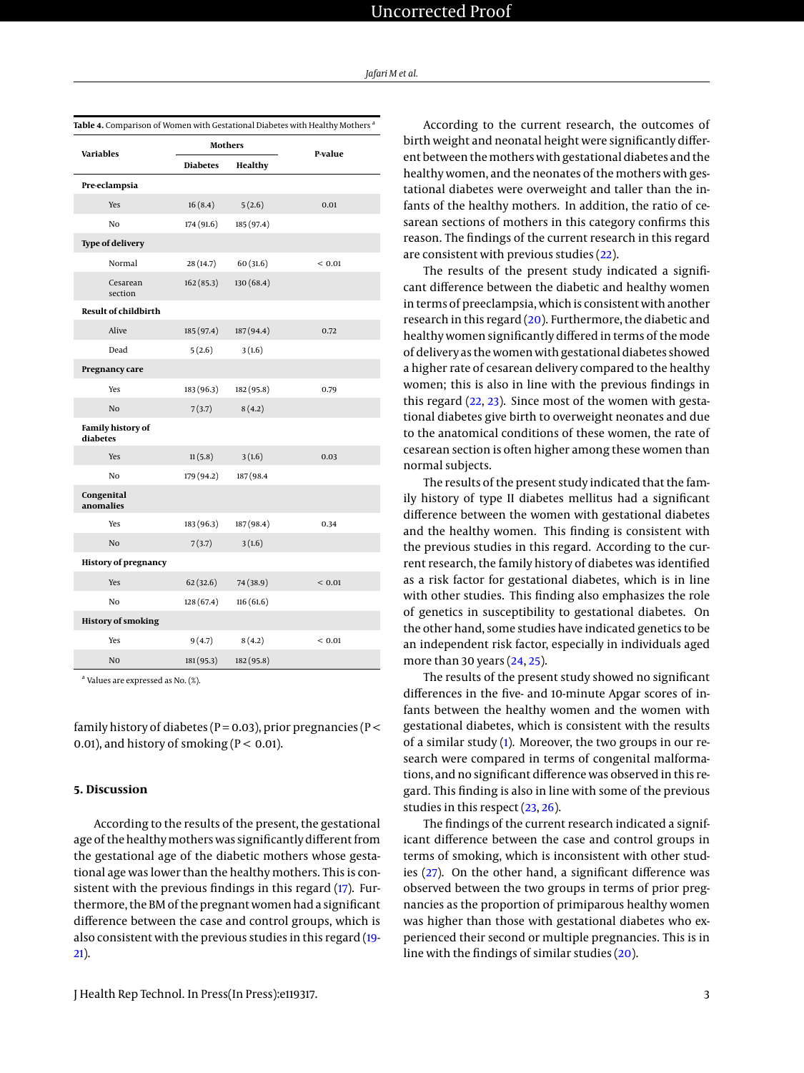| Jafari M et al. |  |  |  |  |  |  |
|-----------------|--|--|--|--|--|--|
|-----------------|--|--|--|--|--|--|

<span id="page-2-0"></span>

| <b>Variables</b>              | <b>Mothers</b>  |            | P-value     |
|-------------------------------|-----------------|------------|-------------|
|                               | <b>Diabetes</b> | Healthy    |             |
| Pre-eclampsia                 |                 |            |             |
| Yes                           | 16(8.4)         | 5(2.6)     | 0.01        |
| No                            | 174 (91.6)      | 185 (97.4) |             |
| <b>Type of delivery</b>       |                 |            |             |
| Normal                        | 28(14.7)        | 60(31.6)   | ${}_{0.01}$ |
| Cesarean<br>section           | 162(85.3)       | 130 (68.4) |             |
| <b>Result of childbirth</b>   |                 |            |             |
| Alive                         | 185 (97.4)      | 187 (94.4) | 0.72        |
| Dead                          | 5(2.6)          | 3(1.6)     |             |
| Pregnancy care                |                 |            |             |
| Yes                           | 183 (96.3)      | 182 (95.8) | 0.79        |
| N <sub>o</sub>                | 7(3.7)          | 8(4.2)     |             |
| Family history of<br>diabetes |                 |            |             |
| Yes                           | 11(5.8)         | 3(1.6)     | 0.03        |
| No                            | 179 (94.2)      | 187 (98.4  |             |
| Congenital<br>anomalies       |                 |            |             |
| Yes                           | 183 (96.3)      | 187 (98.4) | 0.34        |
| N <sub>o</sub>                | 7(3.7)          | 3(1.6)     |             |
| <b>History of pregnancy</b>   |                 |            |             |
| Yes                           | 62(32.6)        | 74 (38.9)  | < 0.01      |
| No                            | 128(67.4)       | 116(61.6)  |             |
| <b>History of smoking</b>     |                 |            |             |
| Yes                           | 9(4.7)          | 8(4.2)     | < 0.01      |
| N <sub>0</sub>                | 181 (95.3)      | 182 (95.8) |             |

<sup>a</sup> Values are expressed as No. (%).

family history of diabetes ( $P = 0.03$ ), prior pregnancies ( $P <$ 0.01), and history of smoking ( $P < 0.01$ ).

#### **5. Discussion**

According to the results of the present, the gestational age of the healthymothers was significantly different from the gestational age of the diabetic mothers whose gestational age was lower than the healthy mothers. This is consistent with the previous findings in this regard [\(17\)](#page-3-15). Furthermore, the BM of the pregnant women had a significant difference between the case and control groups, which is also consistent with the previous studies in this regard [\(19-](#page-3-16) [21\)](#page-4-0).

According to the current research, the outcomes of birth weight and neonatal height were significantly different between themothers with gestational diabetes and the healthy women, and the neonates of the mothers with gestational diabetes were overweight and taller than the infants of the healthy mothers. In addition, the ratio of cesarean sections of mothers in this category confirms this reason. The findings of the current research in this regard are consistent with previous studies [\(22\)](#page-4-1).

The results of the present study indicated a significant difference between the diabetic and healthy women in terms of preeclampsia, which is consistent with another research in this regard [\(20\)](#page-4-2). Furthermore, the diabetic and healthy women significantly differed in terms of the mode of delivery as the women with gestational diabetes showed a higher rate of cesarean delivery compared to the healthy women; this is also in line with the previous findings in this regard  $(22, 23)$  $(22, 23)$  $(22, 23)$ . Since most of the women with gestational diabetes give birth to overweight neonates and due to the anatomical conditions of these women, the rate of cesarean section is often higher among these women than normal subjects.

The results of the present study indicated that the family history of type II diabetes mellitus had a significant difference between the women with gestational diabetes and the healthy women. This finding is consistent with the previous studies in this regard. According to the current research, the family history of diabetes was identified as a risk factor for gestational diabetes, which is in line with other studies. This finding also emphasizes the role of genetics in susceptibility to gestational diabetes. On the other hand, some studies have indicated genetics to be an independent risk factor, especially in individuals aged more than 30 years [\(24,](#page-4-4) [25\)](#page-4-5).

The results of the present study showed no significant differences in the five- and 10-minute Apgar scores of infants between the healthy women and the women with gestational diabetes, which is consistent with the results of a similar study [\(1\)](#page-3-0). Moreover, the two groups in our research were compared in terms of congenital malformations, and no significant difference was observed in this regard. This finding is also in line with some of the previous studies in this respect [\(23,](#page-4-3) [26\)](#page-4-6).

The findings of the current research indicated a significant difference between the case and control groups in terms of smoking, which is inconsistent with other studies [\(27\)](#page-4-7). On the other hand, a significant difference was observed between the two groups in terms of prior pregnancies as the proportion of primiparous healthy women was higher than those with gestational diabetes who experienced their second or multiple pregnancies. This is in line with the findings of similar studies [\(20\)](#page-4-2).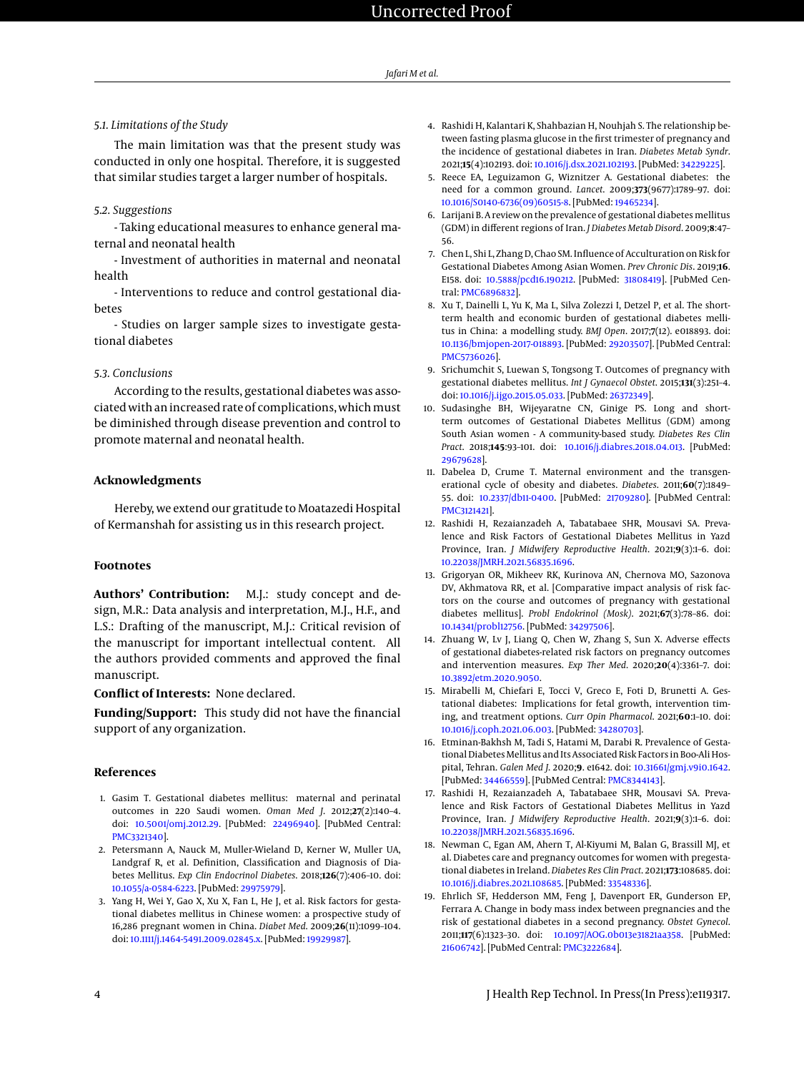## *5.1. Limitations of the Study*

The main limitation was that the present study was conducted in only one hospital. Therefore, it is suggested that similar studies target a larger number of hospitals.

### *5.2. Suggestions*

- Taking educational measures to enhance general maternal and neonatal health

- Investment of authorities in maternal and neonatal health

- Interventions to reduce and control gestational diabetes

- Studies on larger sample sizes to investigate gestational diabetes

### *5.3. Conclusions*

According to the results, gestational diabetes was associated with an increased rate of complications, which must be diminished through disease prevention and control to promote maternal and neonatal health.

# **Acknowledgments**

Hereby, we extend our gratitude to Moatazedi Hospital of Kermanshah for assisting us in this research project.

#### **Footnotes**

**Authors' Contribution:** M.J.: study concept and design, M.R.: Data analysis and interpretation, M.J., H.F., and L.S.: Drafting of the manuscript, M.J.: Critical revision of the manuscript for important intellectual content. All the authors provided comments and approved the final manuscript.

# **Conflict of Interests:** None declared.

**Funding/Support:** This study did not have the financial support of any organization.

### **References**

- <span id="page-3-0"></span>1. Gasim T. Gestational diabetes mellitus: maternal and perinatal outcomes in 220 Saudi women. *Oman Med J*. 2012;**27**(2):140–4. doi: [10.5001/omj.2012.29.](http://dx.doi.org/10.5001/omj.2012.29) [PubMed: [22496940\]](http://www.ncbi.nlm.nih.gov/pubmed/22496940). [PubMed Central: [PMC3321340\]](https://www.ncbi.nlm.nih.gov/pmc/articles/PMC3321340).
- <span id="page-3-1"></span>2. Petersmann A, Nauck M, Muller-Wieland D, Kerner W, Muller UA, Landgraf R, et al. Definition, Classification and Diagnosis of Diabetes Mellitus. *Exp Clin Endocrinol Diabetes*. 2018;**126**(7):406–10. doi: [10.1055/a-0584-6223.](http://dx.doi.org/10.1055/a-0584-6223) [PubMed: [29975979\]](http://www.ncbi.nlm.nih.gov/pubmed/29975979).
- <span id="page-3-2"></span>3. Yang H, Wei Y, Gao X, Xu X, Fan L, He J, et al. Risk factors for gestational diabetes mellitus in Chinese women: a prospective study of 16,286 pregnant women in China. *Diabet Med*. 2009;**26**(11):1099–104. doi: [10.1111/j.1464-5491.2009.02845.x.](http://dx.doi.org/10.1111/j.1464-5491.2009.02845.x) [PubMed: [19929987\]](http://www.ncbi.nlm.nih.gov/pubmed/19929987).
- <span id="page-3-3"></span>4. Rashidi H, Kalantari K, Shahbazian H, Nouhjah S. The relationship between fasting plasma glucose in the first trimester of pregnancy and the incidence of gestational diabetes in Iran. *Diabetes Metab Syndr*. 2021;**15**(4):102193. doi: [10.1016/j.dsx.2021.102193.](http://dx.doi.org/10.1016/j.dsx.2021.102193) [PubMed: [34229225\]](http://www.ncbi.nlm.nih.gov/pubmed/34229225).
- <span id="page-3-4"></span>5. Reece EA, Leguizamon G, Wiznitzer A. Gestational diabetes: the need for a common ground. *Lancet*. 2009;**373**(9677):1789–97. doi: [10.1016/S0140-6736\(09\)60515-8.](http://dx.doi.org/10.1016/S0140-6736(09)60515-8) [PubMed: [19465234\]](http://www.ncbi.nlm.nih.gov/pubmed/19465234).
- <span id="page-3-5"></span>6. Larijani B. A review on the prevalence of gestational diabetes mellitus (GDM) in different regions of Iran. *J Diabetes Metab Disord*. 2009;**8**:47– 56.
- <span id="page-3-6"></span>7. Chen L, Shi L, Zhang D, Chao SM. Influence of Acculturation on Risk for Gestational Diabetes Among Asian Women. *Prev Chronic Dis*. 2019;**16**. E158. doi: [10.5888/pcd16.190212.](http://dx.doi.org/10.5888/pcd16.190212) [PubMed: [31808419\]](http://www.ncbi.nlm.nih.gov/pubmed/31808419). [PubMed Central: [PMC6896832\]](https://www.ncbi.nlm.nih.gov/pmc/articles/PMC6896832).
- <span id="page-3-7"></span>8. Xu T, Dainelli L, Yu K, Ma L, Silva Zolezzi I, Detzel P, et al. The shortterm health and economic burden of gestational diabetes mellitus in China: a modelling study. *BMJ Open*. 2017;**7**(12). e018893. doi: [10.1136/bmjopen-2017-018893.](http://dx.doi.org/10.1136/bmjopen-2017-018893) [PubMed: [29203507\]](http://www.ncbi.nlm.nih.gov/pubmed/29203507). [PubMed Central: [PMC5736026\]](https://www.ncbi.nlm.nih.gov/pmc/articles/PMC5736026).
- <span id="page-3-8"></span>9. Srichumchit S, Luewan S, Tongsong T. Outcomes of pregnancy with gestational diabetes mellitus. *Int J Gynaecol Obstet*. 2015;**131**(3):251–4. doi: [10.1016/j.ijgo.2015.05.033.](http://dx.doi.org/10.1016/j.ijgo.2015.05.033) [PubMed: [26372349\]](http://www.ncbi.nlm.nih.gov/pubmed/26372349).
- 10. Sudasinghe BH, Wijeyaratne CN, Ginige PS. Long and shortterm outcomes of Gestational Diabetes Mellitus (GDM) among South Asian women - A community-based study. *Diabetes Res Clin Pract*. 2018;**145**:93–101. doi: [10.1016/j.diabres.2018.04.013.](http://dx.doi.org/10.1016/j.diabres.2018.04.013) [PubMed: [29679628\]](http://www.ncbi.nlm.nih.gov/pubmed/29679628).
- <span id="page-3-9"></span>11. Dabelea D, Crume T. Maternal environment and the transgenerational cycle of obesity and diabetes. *Diabetes*. 2011;**60**(7):1849– 55. doi: [10.2337/db11-0400.](http://dx.doi.org/10.2337/db11-0400) [PubMed: [21709280\]](http://www.ncbi.nlm.nih.gov/pubmed/21709280). [PubMed Central: [PMC3121421\]](https://www.ncbi.nlm.nih.gov/pmc/articles/PMC3121421).
- <span id="page-3-10"></span>12. Rashidi H, Rezaianzadeh A, Tabatabaee SHR, Mousavi SA. Prevalence and Risk Factors of Gestational Diabetes Mellitus in Yazd Province, Iran. *J Midwifery Reproductive Health*. 2021;**9**(3):1–6. doi: [10.22038/JMRH.2021.56835.1696.](http://dx.doi.org/10.22038/JMRH.2021.56835.1696)
- 13. Grigoryan OR, Mikheev RK, Kurinova AN, Chernova MO, Sazonova DV, Akhmatova RR, et al. [Comparative impact analysis of risk factors on the course and outcomes of pregnancy with gestational diabetes mellitus]. *Probl Endokrinol (Mosk)*. 2021;**67**(3):78–86. doi: [10.14341/probl12756.](http://dx.doi.org/10.14341/probl12756) [PubMed: [34297506\]](http://www.ncbi.nlm.nih.gov/pubmed/34297506).
- <span id="page-3-11"></span>14. Zhuang W, Lv J, Liang Q, Chen W, Zhang S, Sun X. Adverse effects of gestational diabetes-related risk factors on pregnancy outcomes and intervention measures. *Exp Ther Med*. 2020;**20**(4):3361–7. doi: [10.3892/etm.2020.9050.](http://dx.doi.org/10.3892/etm.2020.9050)
- <span id="page-3-12"></span>15. Mirabelli M, Chiefari E, Tocci V, Greco E, Foti D, Brunetti A. Gestational diabetes: Implications for fetal growth, intervention timing, and treatment options. *Curr Opin Pharmacol*. 2021;**60**:1–10. doi: [10.1016/j.coph.2021.06.003.](http://dx.doi.org/10.1016/j.coph.2021.06.003) [PubMed: [34280703\]](http://www.ncbi.nlm.nih.gov/pubmed/34280703).
- <span id="page-3-13"></span>16. Etminan-Bakhsh M, Tadi S, Hatami M, Darabi R. Prevalence of Gestational Diabetes Mellitus and Its Associated Risk Factors in Boo-Ali Hospital, Tehran. *Galen Med J*. 2020;**9**. e1642. doi: [10.31661/gmj.v9i0.1642.](http://dx.doi.org/10.31661/gmj.v9i0.1642) [PubMed: [34466559\]](http://www.ncbi.nlm.nih.gov/pubmed/34466559). [PubMed Central: [PMC8344143\]](https://www.ncbi.nlm.nih.gov/pmc/articles/PMC8344143).
- <span id="page-3-15"></span>17. Rashidi H, Rezaianzadeh A, Tabatabaee SHR, Mousavi SA. Prevalence and Risk Factors of Gestational Diabetes Mellitus in Yazd Province, Iran. *J Midwifery Reproductive Health*. 2021;**9**(3):1–6. doi: [10.22038/JMRH.2021.56835.1696.](http://dx.doi.org/10.22038/JMRH.2021.56835.1696)
- <span id="page-3-14"></span>18. Newman C, Egan AM, Ahern T, Al-Kiyumi M, Balan G, Brassill MJ, et al. Diabetes care and pregnancy outcomes for women with pregestational diabetes in Ireland. *Diabetes Res Clin Pract*. 2021;**173**:108685. doi: [10.1016/j.diabres.2021.108685.](http://dx.doi.org/10.1016/j.diabres.2021.108685) [PubMed: [33548336\]](http://www.ncbi.nlm.nih.gov/pubmed/33548336).
- <span id="page-3-16"></span>19. Ehrlich SF, Hedderson MM, Feng J, Davenport ER, Gunderson EP, Ferrara A. Change in body mass index between pregnancies and the risk of gestational diabetes in a second pregnancy. *Obstet Gynecol*. 2011;**117**(6):1323–30. doi: [10.1097/AOG.0b013e31821aa358.](http://dx.doi.org/10.1097/AOG.0b013e31821aa358) [PubMed: [21606742\]](http://www.ncbi.nlm.nih.gov/pubmed/21606742). [PubMed Central: [PMC3222684\]](https://www.ncbi.nlm.nih.gov/pmc/articles/PMC3222684).